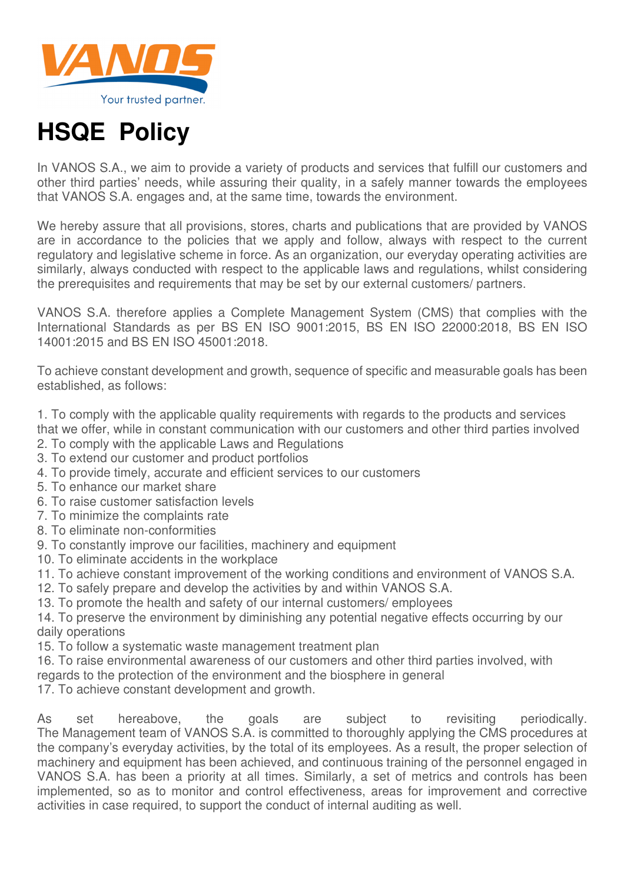

## **HSQE Policy**

In VANOS S.A., we aim to provide a variety of products and services that fulfill our customers and other third parties' needs, while assuring their quality, in a safely manner towards the employees that VANOS S.A. engages and, at the same time, towards the environment.

We hereby assure that all provisions, stores, charts and publications that are provided by VANOS are in accordance to the policies that we apply and follow, always with respect to the current regulatory and legislative scheme in force. As an organization, our everyday operating activities are similarly, always conducted with respect to the applicable laws and regulations, whilst considering the prerequisites and requirements that may be set by our external customers/ partners.

VANOS S.A. therefore applies a Complete Management System (CMS) that complies with the International Standards as per BS EN ISO 9001:2015, BS EN ISO 22000:2018, BS EN ISO 14001:2015 and BS EN ISO 45001:2018.

To achieve constant development and growth, sequence of specific and measurable goals has been established, as follows:

1. To comply with the applicable quality requirements with regards to the products and services that we offer, while in constant communication with our customers and other third parties involved

- 2. To comply with the applicable Laws and Regulations
- 3. To extend our customer and product portfolios
- 4. To provide timely, accurate and efficient services to our customers
- 5. To enhance our market share
- 6. To raise customer satisfaction levels
- 7. To minimize the complaints rate
- 8. To eliminate non-conformities
- 9. To constantly improve our facilities, machinery and equipment
- 10. To eliminate accidents in the workplace
- 11. To achieve constant improvement of the working conditions and environment of VANOS S.A.
- 12. To safely prepare and develop the activities by and within VANOS S.A.
- 13. To promote the health and safety of our internal customers/ employees

14. To preserve the environment by diminishing any potential negative effects occurring by our daily operations

- 15. To follow a systematic waste management treatment plan
- 16. To raise environmental awareness of our customers and other third parties involved, with regards to the protection of the environment and the biosphere in general
- 17. To achieve constant development and growth.

As set hereabove, the goals are subject to revisiting periodically. The Management team of VANOS S.A. is committed to thoroughly applying the CMS procedures at the company's everyday activities, by the total of its employees. As a result, the proper selection of machinery and equipment has been achieved, and continuous training of the personnel engaged in VANOS S.A. has been a priority at all times. Similarly, a set of metrics and controls has been implemented, so as to monitor and control effectiveness, areas for improvement and corrective activities in case required, to support the conduct of internal auditing as well.